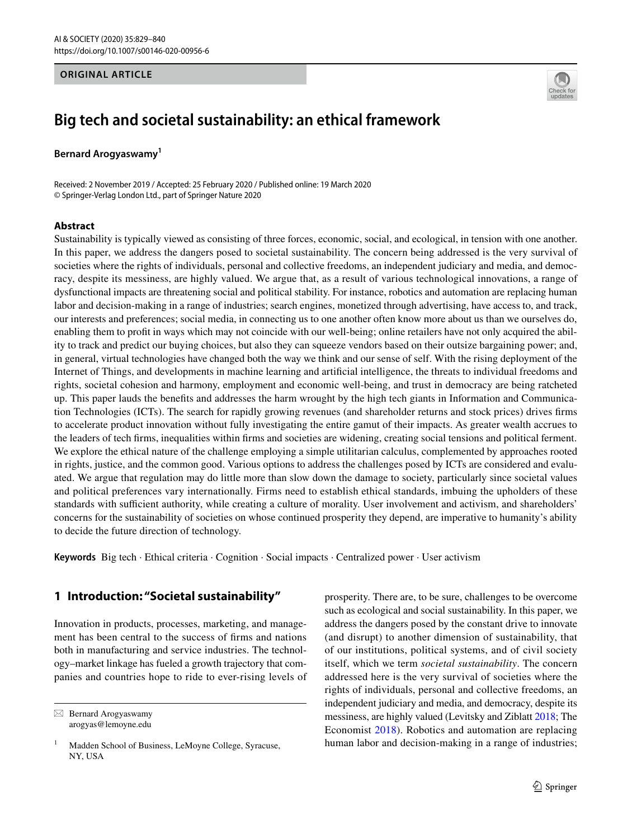# **ORIGINAL ARTICLE**



# **Big tech and societal sustainability: an ethical framework**

**Bernard Arogyaswamy<sup>1</sup>**

Received: 2 November 2019 / Accepted: 25 February 2020 / Published online: 19 March 2020 © Springer-Verlag London Ltd., part of Springer Nature 2020

# **Abstract**

Sustainability is typically viewed as consisting of three forces, economic, social, and ecological, in tension with one another. In this paper, we address the dangers posed to societal sustainability. The concern being addressed is the very survival of societies where the rights of individuals, personal and collective freedoms, an independent judiciary and media, and democracy, despite its messiness, are highly valued. We argue that, as a result of various technological innovations, a range of dysfunctional impacts are threatening social and political stability. For instance, robotics and automation are replacing human labor and decision-making in a range of industries; search engines, monetized through advertising, have access to, and track, our interests and preferences; social media, in connecting us to one another often know more about us than we ourselves do, enabling them to proft in ways which may not coincide with our well-being; online retailers have not only acquired the ability to track and predict our buying choices, but also they can squeeze vendors based on their outsize bargaining power; and, in general, virtual technologies have changed both the way we think and our sense of self. With the rising deployment of the Internet of Things, and developments in machine learning and artifcial intelligence, the threats to individual freedoms and rights, societal cohesion and harmony, employment and economic well-being, and trust in democracy are being ratcheted up. This paper lauds the benefts and addresses the harm wrought by the high tech giants in Information and Communication Technologies (ICTs). The search for rapidly growing revenues (and shareholder returns and stock prices) drives frms to accelerate product innovation without fully investigating the entire gamut of their impacts. As greater wealth accrues to the leaders of tech frms, inequalities within frms and societies are widening, creating social tensions and political ferment. We explore the ethical nature of the challenge employing a simple utilitarian calculus, complemented by approaches rooted in rights, justice, and the common good. Various options to address the challenges posed by ICTs are considered and evaluated. We argue that regulation may do little more than slow down the damage to society, particularly since societal values and political preferences vary internationally. Firms need to establish ethical standards, imbuing the upholders of these standards with sufficient authority, while creating a culture of morality. User involvement and activism, and shareholders' concerns for the sustainability of societies on whose continued prosperity they depend, are imperative to humanity's ability to decide the future direction of technology.

**Keywords** Big tech · Ethical criteria · Cognition · Social impacts · Centralized power · User activism

# **1 Introduction: "Societal sustainability"**

Innovation in products, processes, marketing, and management has been central to the success of frms and nations both in manufacturing and service industries. The technology–market linkage has fueled a growth trajectory that companies and countries hope to ride to ever-rising levels of

 $\boxtimes$  Bernard Arogyaswamy arogyas@lemoyne.edu prosperity. There are, to be sure, challenges to be overcome such as ecological and social sustainability. In this paper, we address the dangers posed by the constant drive to innovate (and disrupt) to another dimension of sustainability, that of our institutions, political systems, and of civil society itself, which we term *societal sustainability*. The concern addressed here is the very survival of societies where the rights of individuals, personal and collective freedoms, an independent judiciary and media, and democracy, despite its messiness, are highly valued (Levitsky and Ziblatt [2018;](#page-10-0) The Economist [2018\)](#page-10-1). Robotics and automation are replacing human labor and decision-making in a range of industries;

Madden School of Business, LeMoyne College, Syracuse, NY, USA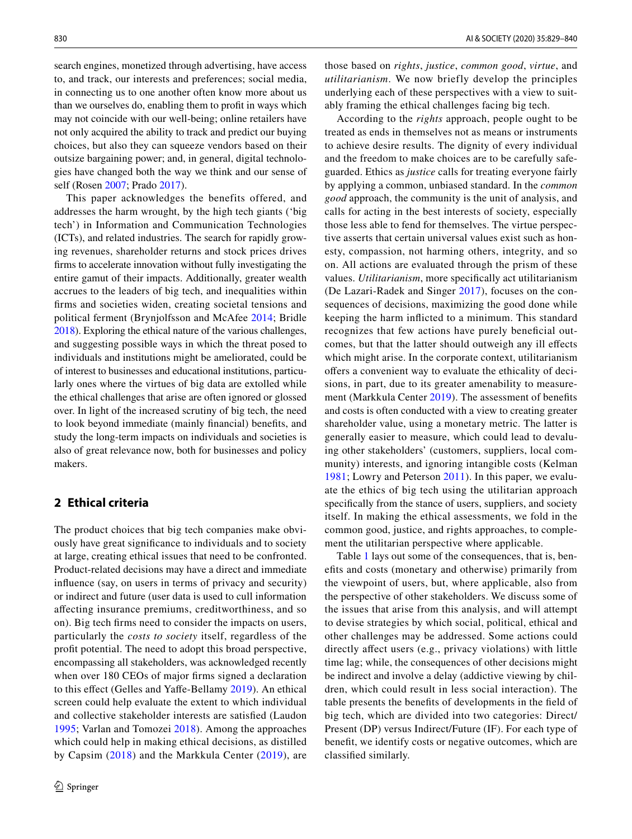search engines, monetized through advertising, have access to, and track, our interests and preferences; social media, in connecting us to one another often know more about us than we ourselves do, enabling them to proft in ways which may not coincide with our well-being; online retailers have not only acquired the ability to track and predict our buying choices, but also they can squeeze vendors based on their outsize bargaining power; and, in general, digital technologies have changed both the way we think and our sense of self (Rosen [2007](#page-10-2); Prado [2017\)](#page-10-3).

This paper acknowledges the benefits offered, and addresses the harm wrought, by the high tech giants ('big tech') in Information and Communication Technologies (ICTs), and related industries. The search for rapidly growing revenues, shareholder returns and stock prices drives frms to accelerate innovation without fully investigating the entire gamut of their impacts. Additionally, greater wealth accrues to the leaders of big tech, and inequalities within frms and societies widen, creating societal tensions and political ferment (Brynjolfsson and McAfee [2014](#page-9-0); Bridle [2018\)](#page-9-1). Exploring the ethical nature of the various challenges, and suggesting possible ways in which the threat posed to individuals and institutions might be ameliorated, could be of interest to businesses and educational institutions, particularly ones where the virtues of big data are extolled while the ethical challenges that arise are often ignored or glossed over. In light of the increased scrutiny of big tech, the need to look beyond immediate (mainly fnancial) benefts, and study the long-term impacts on individuals and societies is also of great relevance now, both for businesses and policy makers.

# **2 Ethical criteria**

The product choices that big tech companies make obviously have great signifcance to individuals and to society at large, creating ethical issues that need to be confronted. Product-related decisions may have a direct and immediate infuence (say, on users in terms of privacy and security) or indirect and future (user data is used to cull information afecting insurance premiums, creditworthiness, and so on). Big tech frms need to consider the impacts on users, particularly the *costs to society* itself, regardless of the proft potential. The need to adopt this broad perspective, encompassing all stakeholders, was acknowledged recently when over 180 CEOs of major firms signed a declaration to this efect (Gelles and Yafe-Bellamy [2019\)](#page-9-2). An ethical screen could help evaluate the extent to which individual and collective stakeholder interests are satisfed (Laudon [1995;](#page-9-3) Varlan and Tomozei [2018\)](#page-10-4). Among the approaches which could help in making ethical decisions, as distilled by Capsim ([2018\)](#page-9-4) and the Markkula Center ([2019\)](#page-10-5), are those based on *rights*, *justice*, *common good*, *virtue*, and *utilitarianism*. We now briefly develop the principles underlying each of these perspectives with a view to suitably framing the ethical challenges facing big tech.

According to the *rights* approach, people ought to be treated as ends in themselves not as means or instruments to achieve desire results. The dignity of every individual and the freedom to make choices are to be carefully safeguarded. Ethics as *justice* calls for treating everyone fairly by applying a common, unbiased standard. In the *common good* approach, the community is the unit of analysis, and calls for acting in the best interests of society, especially those less able to fend for themselves. The virtue perspective asserts that certain universal values exist such as honesty, compassion, not harming others, integrity, and so on. All actions are evaluated through the prism of these values. *Utilitarianism*, more specifcally act utilitarianism (De Lazari-Radek and Singer [2017](#page-9-5)), focuses on the consequences of decisions, maximizing the good done while keeping the harm inficted to a minimum. This standard recognizes that few actions have purely benefcial outcomes, but that the latter should outweigh any ill efects which might arise. In the corporate context, utilitarianism ofers a convenient way to evaluate the ethicality of decisions, in part, due to its greater amenability to measurement (Markkula Center [2019\)](#page-10-5). The assessment of benefts and costs is often conducted with a view to creating greater shareholder value, using a monetary metric. The latter is generally easier to measure, which could lead to devaluing other stakeholders' (customers, suppliers, local community) interests, and ignoring intangible costs (Kelman [1981;](#page-9-6) Lowry and Peterson [2011\)](#page-10-6). In this paper, we evaluate the ethics of big tech using the utilitarian approach specifcally from the stance of users, suppliers, and society itself. In making the ethical assessments, we fold in the common good, justice, and rights approaches, to complement the utilitarian perspective where applicable.

Table [1](#page-2-0) lays out some of the consequences, that is, benefts and costs (monetary and otherwise) primarily from the viewpoint of users, but, where applicable, also from the perspective of other stakeholders. We discuss some of the issues that arise from this analysis, and will attempt to devise strategies by which social, political, ethical and other challenges may be addressed. Some actions could directly afect users (e.g., privacy violations) with little time lag; while, the consequences of other decisions might be indirect and involve a delay (addictive viewing by children, which could result in less social interaction). The table presents the benefts of developments in the feld of big tech, which are divided into two categories: Direct/ Present (DP) versus Indirect/Future (IF). For each type of beneft, we identify costs or negative outcomes, which are classifed similarly.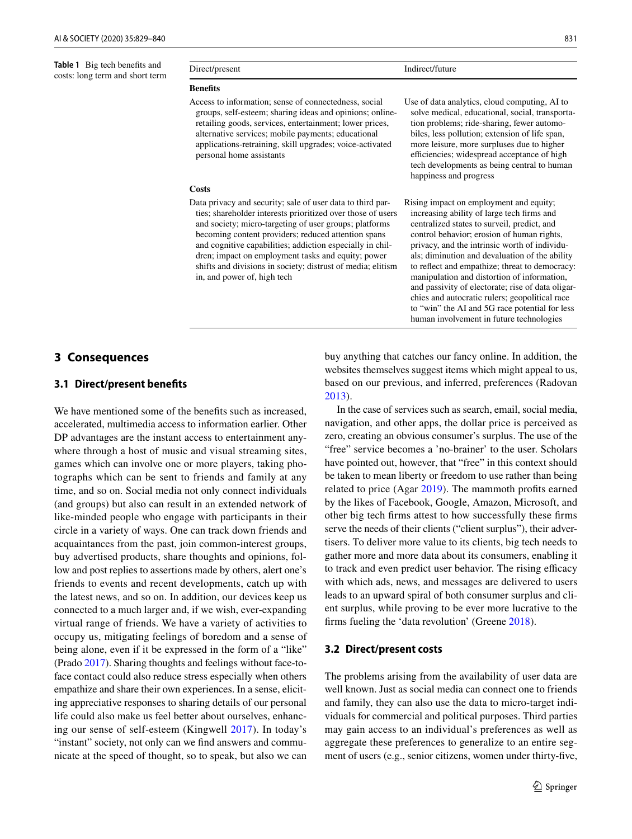<span id="page-2-0"></span>**Table 1** Big tech bene costs: long term and s

| Direct/present                                                                                                                                                                                                                                                                                                                                                                                                                                              | Indirect/future                                                                                                                                                                                                                                                                                                                                                                                                                                                                                                                                                                             |
|-------------------------------------------------------------------------------------------------------------------------------------------------------------------------------------------------------------------------------------------------------------------------------------------------------------------------------------------------------------------------------------------------------------------------------------------------------------|---------------------------------------------------------------------------------------------------------------------------------------------------------------------------------------------------------------------------------------------------------------------------------------------------------------------------------------------------------------------------------------------------------------------------------------------------------------------------------------------------------------------------------------------------------------------------------------------|
| <b>Benefits</b>                                                                                                                                                                                                                                                                                                                                                                                                                                             |                                                                                                                                                                                                                                                                                                                                                                                                                                                                                                                                                                                             |
| Access to information; sense of connectedness, social<br>groups, self-esteem; sharing ideas and opinions; online-<br>retailing goods, services, entertainment; lower prices,<br>alternative services; mobile payments; educational<br>applications-retraining, skill upgrades; voice-activated<br>personal home assistants                                                                                                                                  | Use of data analytics, cloud computing, AI to<br>solve medical, educational, social, transporta-<br>tion problems; ride-sharing, fewer automo-<br>biles, less pollution; extension of life span,<br>more leisure, more surpluses due to higher<br>efficiencies; widespread acceptance of high<br>tech developments as being central to human<br>happiness and progress                                                                                                                                                                                                                      |
| <b>Costs</b>                                                                                                                                                                                                                                                                                                                                                                                                                                                |                                                                                                                                                                                                                                                                                                                                                                                                                                                                                                                                                                                             |
| Data privacy and security; sale of user data to third par-<br>ties; shareholder interests prioritized over those of users<br>and society; micro-targeting of user groups; platforms<br>becoming content providers; reduced attention spans<br>and cognitive capabilities; addiction especially in chil-<br>dren; impact on employment tasks and equity; power<br>shifts and divisions in society; distrust of media; elitism<br>in, and power of, high tech | Rising impact on employment and equity;<br>increasing ability of large tech firms and<br>centralized states to surveil, predict, and<br>control behavior; erosion of human rights,<br>privacy, and the intrinsic worth of individu-<br>als; diminution and devaluation of the ability<br>to reflect and empathize; threat to democracy:<br>manipulation and distortion of information,<br>and passivity of electorate; rise of data oligar-<br>chies and autocratic rulers; geopolitical race<br>to "win" the AI and 5G race potential for less<br>human involvement in future technologies |
|                                                                                                                                                                                                                                                                                                                                                                                                                                                             |                                                                                                                                                                                                                                                                                                                                                                                                                                                                                                                                                                                             |

# **3 Consequences**

# **3.1 Direct/present benefts**

We have mentioned some of the benefts such as increased, accelerated, multimedia access to information earlier. Other DP advantages are the instant access to entertainment anywhere through a host of music and visual streaming sites, games which can involve one or more players, taking photographs which can be sent to friends and family at any time, and so on. Social media not only connect individuals (and groups) but also can result in an extended network of like-minded people who engage with participants in their circle in a variety of ways. One can track down friends and acquaintances from the past, join common-interest groups, buy advertised products, share thoughts and opinions, follow and post replies to assertions made by others, alert one's friends to events and recent developments, catch up with the latest news, and so on. In addition, our devices keep us connected to a much larger and, if we wish, ever-expanding virtual range of friends. We have a variety of activities to occupy us, mitigating feelings of boredom and a sense of being alone, even if it be expressed in the form of a "like" (Prado [2017](#page-10-3)). Sharing thoughts and feelings without face-toface contact could also reduce stress especially when others empathize and share their own experiences. In a sense, eliciting appreciative responses to sharing details of our personal life could also make us feel better about ourselves, enhancing our sense of self-esteem (Kingwell [2017](#page-9-7)). In today's "instant" society, not only can we fnd answers and communicate at the speed of thought, so to speak, but also we can buy anything that catches our fancy online. In addition, the websites themselves suggest items which might appeal to us, based on our previous, and inferred, preferences (Radovan [2013](#page-10-7)).

In the case of services such as search, email, social media, navigation, and other apps, the dollar price is perceived as zero, creating an obvious consumer's surplus. The use of the "free" service becomes a 'no-brainer' to the user. Scholars have pointed out, however, that "free" in this context should be taken to mean liberty or freedom to use rather than being related to price (Agar [2019](#page-9-8)). The mammoth profts earned by the likes of Facebook, Google, Amazon, Microsoft, and other big tech frms attest to how successfully these frms serve the needs of their clients ("client surplus"), their advertisers. To deliver more value to its clients, big tech needs to gather more and more data about its consumers, enabling it to track and even predict user behavior. The rising efficacy with which ads, news, and messages are delivered to users leads to an upward spiral of both consumer surplus and client surplus, while proving to be ever more lucrative to the frms fueling the 'data revolution' (Greene [2018\)](#page-9-9).

# **3.2 Direct/present costs**

The problems arising from the availability of user data are well known. Just as social media can connect one to friends and family, they can also use the data to micro-target individuals for commercial and political purposes. Third parties may gain access to an individual's preferences as well as aggregate these preferences to generalize to an entire segment of users (e.g., senior citizens, women under thirty-fve,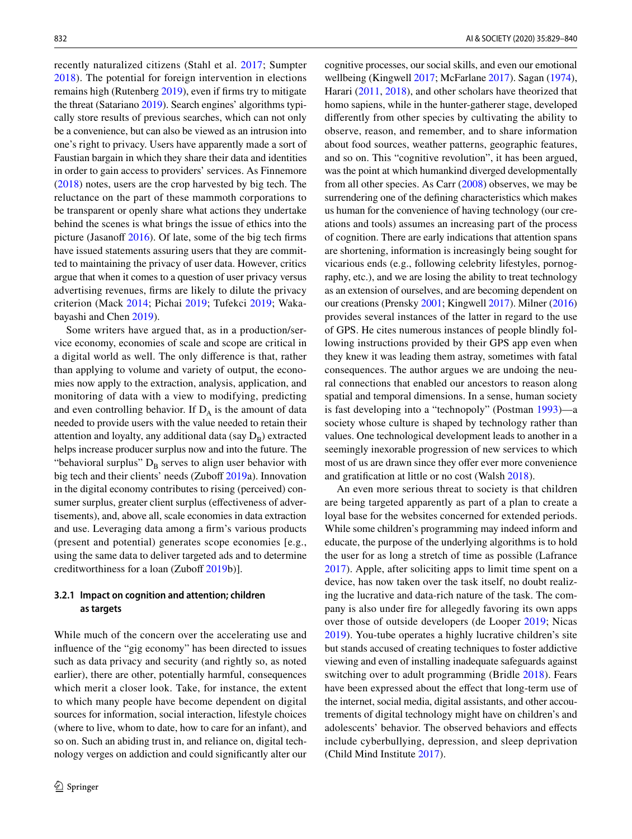recently naturalized citizens (Stahl et al. [2017;](#page-10-8) Sumpter [2018\)](#page-10-9). The potential for foreign intervention in elections remains high (Rutenberg [2019](#page-10-10)), even if frms try to mitigate the threat (Satariano [2019](#page-10-11)). Search engines' algorithms typically store results of previous searches, which can not only be a convenience, but can also be viewed as an intrusion into one's right to privacy. Users have apparently made a sort of Faustian bargain in which they share their data and identities in order to gain access to providers' services. As Finnemore [\(2018\)](#page-9-10) notes, users are the crop harvested by big tech. The reluctance on the part of these mammoth corporations to be transparent or openly share what actions they undertake behind the scenes is what brings the issue of ethics into the picture (Jasanoff  $2016$ ). Of late, some of the big tech firms have issued statements assuring users that they are committed to maintaining the privacy of user data. However, critics argue that when it comes to a question of user privacy versus advertising revenues, frms are likely to dilute the privacy criterion (Mack [2014;](#page-10-12) Pichai [2019](#page-10-13); Tufekci [2019](#page-10-14); Wakabayashi and Chen [2019\)](#page-10-15).

Some writers have argued that, as in a production/service economy, economies of scale and scope are critical in a digital world as well. The only diference is that, rather than applying to volume and variety of output, the economies now apply to the extraction, analysis, application, and monitoring of data with a view to modifying, predicting and even controlling behavior. If  $D_A$  is the amount of data needed to provide users with the value needed to retain their attention and loyalty, any additional data (say  $D_B$ ) extracted helps increase producer surplus now and into the future. The "behavioral surplus"  $D_B$  serves to align user behavior with big tech and their clients' needs (Zuboff [2019](#page-11-0)a). Innovation in the digital economy contributes to rising (perceived) consumer surplus, greater client surplus (effectiveness of advertisements), and, above all, scale economies in data extraction and use. Leveraging data among a frm's various products (present and potential) generates scope economies [e.g., using the same data to deliver targeted ads and to determine creditworthiness for a loan (Zuboff  $2019b$ )].

# **3.2.1 Impact on cognition and attention; children as targets**

While much of the concern over the accelerating use and infuence of the "gig economy" has been directed to issues such as data privacy and security (and rightly so, as noted earlier), there are other, potentially harmful, consequences which merit a closer look. Take, for instance, the extent to which many people have become dependent on digital sources for information, social interaction, lifestyle choices (where to live, whom to date, how to care for an infant), and so on. Such an abiding trust in, and reliance on, digital technology verges on addiction and could signifcantly alter our cognitive processes, our social skills, and even our emotional wellbeing (Kingwell [2017](#page-9-7); McFarlane [2017\)](#page-10-16). Sagan [\(1974](#page-10-17)), Harari ([2011](#page-9-12), [2018](#page-9-13)), and other scholars have theorized that homo sapiens, while in the hunter-gatherer stage, developed diferently from other species by cultivating the ability to observe, reason, and remember, and to share information about food sources, weather patterns, geographic features, and so on. This "cognitive revolution", it has been argued, was the point at which humankind diverged developmentally from all other species. As Carr [\(2008](#page-9-14)) observes, we may be surrendering one of the defning characteristics which makes us human for the convenience of having technology (our creations and tools) assumes an increasing part of the process of cognition. There are early indications that attention spans are shortening, information is increasingly being sought for vicarious ends (e.g., following celebrity lifestyles, pornography, etc.), and we are losing the ability to treat technology as an extension of ourselves, and are becoming dependent on our creations (Prensky [2001;](#page-10-18) Kingwell [2017\)](#page-9-7). Milner ([2016\)](#page-10-19) provides several instances of the latter in regard to the use of GPS. He cites numerous instances of people blindly following instructions provided by their GPS app even when they knew it was leading them astray, sometimes with fatal consequences. The author argues we are undoing the neural connections that enabled our ancestors to reason along spatial and temporal dimensions. In a sense, human society is fast developing into a "technopoly" (Postman [1993](#page-10-20))—a society whose culture is shaped by technology rather than values. One technological development leads to another in a seemingly inexorable progression of new services to which most of us are drawn since they offer ever more convenience and gratifcation at little or no cost (Walsh [2018\)](#page-10-21).

An even more serious threat to society is that children are being targeted apparently as part of a plan to create a loyal base for the websites concerned for extended periods. While some children's programming may indeed inform and educate, the purpose of the underlying algorithms is to hold the user for as long a stretch of time as possible (Lafrance [2017](#page-9-15)). Apple, after soliciting apps to limit time spent on a device, has now taken over the task itself, no doubt realizing the lucrative and data-rich nature of the task. The company is also under fre for allegedly favoring its own apps over those of outside developers (de Looper [2019;](#page-9-16) Nicas [2019\)](#page-10-22). You-tube operates a highly lucrative children's site but stands accused of creating techniques to foster addictive viewing and even of installing inadequate safeguards against switching over to adult programming (Bridle [2018](#page-9-1)). Fears have been expressed about the effect that long-term use of the internet, social media, digital assistants, and other accoutrements of digital technology might have on children's and adolescents' behavior. The observed behaviors and efects include cyberbullying, depression, and sleep deprivation (Child Mind Institute [2017](#page-9-17)).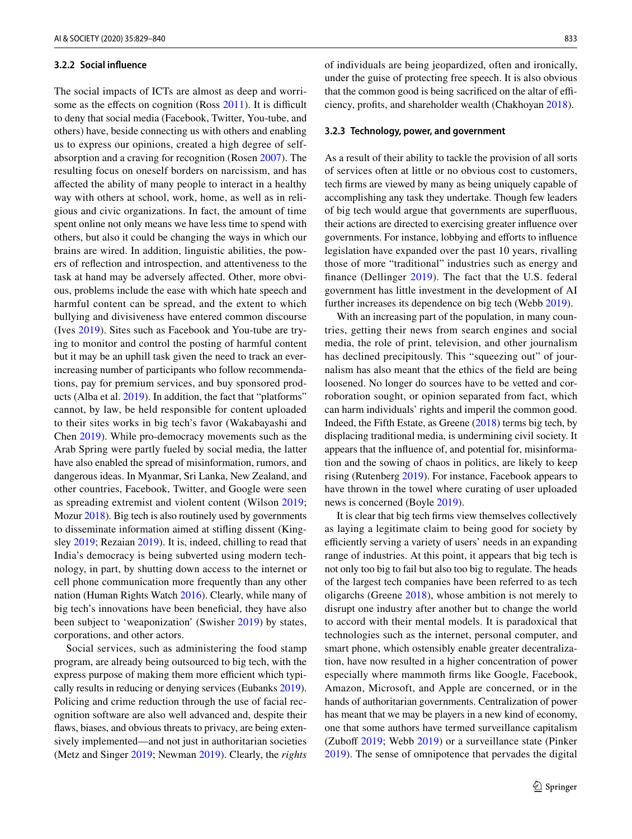### **3.2.2 Social infuence**

The social impacts of ICTs are almost as deep and worrisome as the effects on cognition (Ross  $2011$ ). It is difficult to deny that social media (Facebook, Twitter, You-tube, and others) have, beside connecting us with others and enabling us to express our opinions, created a high degree of selfabsorption and a craving for recognition (Rosen [2007](#page-10-2)). The resulting focus on oneself borders on narcissism, and has afected the ability of many people to interact in a healthy way with others at school, work, home, as well as in religious and civic organizations. In fact, the amount of time spent online not only means we have less time to spend with others, but also it could be changing the ways in which our brains are wired. In addition, linguistic abilities, the powers of refection and introspection, and attentiveness to the task at hand may be adversely afected. Other, more obvious, problems include the ease with which hate speech and harmful content can be spread, and the extent to which bullying and divisiveness have entered common discourse (Ives [2019](#page-9-18)). Sites such as Facebook and You-tube are trying to monitor and control the posting of harmful content but it may be an uphill task given the need to track an everincreasing number of participants who follow recommendations, pay for premium services, and buy sponsored products (Alba et al. [2019](#page-9-19)). In addition, the fact that "platforms" cannot, by law, be held responsible for content uploaded to their sites works in big tech's favor (Wakabayashi and Chen [2019](#page-10-15)). While pro-democracy movements such as the Arab Spring were partly fueled by social media, the latter have also enabled the spread of misinformation, rumors, and dangerous ideas. In Myanmar, Sri Lanka, New Zealand, and other countries, Facebook, Twitter, and Google were seen as spreading extremist and violent content (Wilson [2019](#page-11-1); Mozur [2018](#page-10-24)). Big tech is also routinely used by governments to disseminate information aimed at stifing dissent (Kingsley [2019;](#page-9-20) Rezaian [2019\)](#page-10-25). It is, indeed, chilling to read that India's democracy is being subverted using modern technology, in part, by shutting down access to the internet or cell phone communication more frequently than any other nation (Human Rights Watch [2016](#page-9-21)). Clearly, while many of big tech's innovations have been benefcial, they have also been subject to 'weaponization' (Swisher [2019\)](#page-10-26) by states, corporations, and other actors.

Social services, such as administering the food stamp program, are already being outsourced to big tech, with the express purpose of making them more efficient which typically results in reducing or denying services (Eubanks [2019](#page-9-22)). Policing and crime reduction through the use of facial recognition software are also well advanced and, despite their flaws, biases, and obvious threats to privacy, are being extensively implemented—and not just in authoritarian societies (Metz and Singer [2019;](#page-10-27) Newman [2019\)](#page-10-28). Clearly, the *rights* of individuals are being jeopardized, often and ironically, under the guise of protecting free speech. It is also obvious that the common good is being sacrificed on the altar of efficiency, profts, and shareholder wealth (Chakhoyan [2018](#page-9-23)).

#### **3.2.3 Technology, power, and government**

As a result of their ability to tackle the provision of all sorts of services often at little or no obvious cost to customers, tech frms are viewed by many as being uniquely capable of accomplishing any task they undertake. Though few leaders of big tech would argue that governments are superfuous, their actions are directed to exercising greater infuence over governments. For instance, lobbying and eforts to infuence legislation have expanded over the past 10 years, rivalling those of more "traditional" industries such as energy and fnance (Dellinger [2019](#page-9-24)). The fact that the U.S. federal government has little investment in the development of AI further increases its dependence on big tech (Webb [2019\)](#page-10-29).

With an increasing part of the population, in many countries, getting their news from search engines and social media, the role of print, television, and other journalism has declined precipitously. This "squeezing out" of journalism has also meant that the ethics of the feld are being loosened. No longer do sources have to be vetted and corroboration sought, or opinion separated from fact, which can harm individuals' rights and imperil the common good. Indeed, the Fifth Estate, as Greene [\(2018](#page-9-9)) terms big tech, by displacing traditional media, is undermining civil society. It appears that the infuence of, and potential for, misinformation and the sowing of chaos in politics, are likely to keep rising (Rutenberg [2019](#page-10-10)). For instance, Facebook appears to have thrown in the towel where curating of user uploaded news is concerned (Boyle [2019](#page-9-25)).

It is clear that big tech frms view themselves collectively as laying a legitimate claim to being good for society by efficiently serving a variety of users' needs in an expanding range of industries. At this point, it appears that big tech is not only too big to fail but also too big to regulate. The heads of the largest tech companies have been referred to as tech oligarchs (Greene [2018\)](#page-9-9), whose ambition is not merely to disrupt one industry after another but to change the world to accord with their mental models. It is paradoxical that technologies such as the internet, personal computer, and smart phone, which ostensibly enable greater decentralization, have now resulted in a higher concentration of power especially where mammoth frms like Google, Facebook, Amazon, Microsoft, and Apple are concerned, or in the hands of authoritarian governments. Centralization of power has meant that we may be players in a new kind of economy, one that some authors have termed surveillance capitalism (Zuboff  $2019$ ; Webb  $2019$ ) or a surveillance state (Pinker [2019](#page-10-30)). The sense of omnipotence that pervades the digital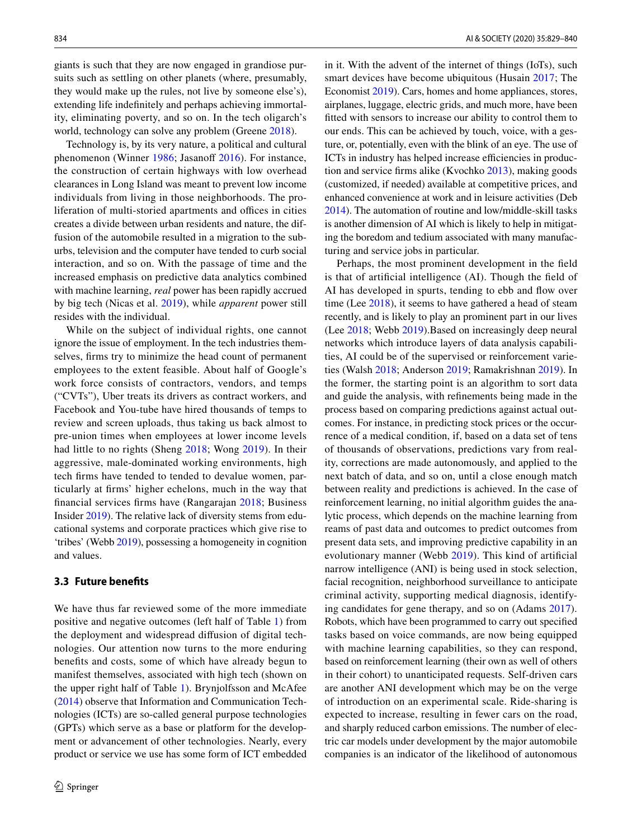giants is such that they are now engaged in grandiose pursuits such as settling on other planets (where, presumably, they would make up the rules, not live by someone else's), extending life indefnitely and perhaps achieving immortality, eliminating poverty, and so on. In the tech oligarch's world, technology can solve any problem (Greene [2018](#page-9-9)).

Technology is, by its very nature, a political and cultural phenomenon (Winner [1986](#page-11-2); Jasanoff [2016\)](#page-9-11). For instance, the construction of certain highways with low overhead clearances in Long Island was meant to prevent low income individuals from living in those neighborhoods. The proliferation of multi-storied apartments and offices in cities creates a divide between urban residents and nature, the diffusion of the automobile resulted in a migration to the suburbs, television and the computer have tended to curb social interaction, and so on. With the passage of time and the increased emphasis on predictive data analytics combined with machine learning, *real* power has been rapidly accrued by big tech (Nicas et al. [2019](#page-10-31)), while *apparent* power still resides with the individual.

While on the subject of individual rights, one cannot ignore the issue of employment. In the tech industries themselves, frms try to minimize the head count of permanent employees to the extent feasible. About half of Google's work force consists of contractors, vendors, and temps ("CVTs"), Uber treats its drivers as contract workers, and Facebook and You-tube have hired thousands of temps to review and screen uploads, thus taking us back almost to pre-union times when employees at lower income levels had little to no rights (Sheng [2018](#page-10-32); Wong [2019](#page-11-3)). In their aggressive, male-dominated working environments, high tech frms have tended to tended to devalue women, particularly at frms' higher echelons, much in the way that fnancial services frms have (Rangarajan [2018;](#page-10-33) Business Insider [2019\)](#page-9-26). The relative lack of diversity stems from educational systems and corporate practices which give rise to 'tribes' (Webb [2019\)](#page-10-29), possessing a homogeneity in cognition and values.

### **3.3 Future benefts**

We have thus far reviewed some of the more immediate positive and negative outcomes (left half of Table [1](#page-2-0)) from the deployment and widespread difusion of digital technologies. Our attention now turns to the more enduring benefts and costs, some of which have already begun to manifest themselves, associated with high tech (shown on the upper right half of Table [1\)](#page-2-0). Brynjolfsson and McAfee [\(2014\)](#page-9-0) observe that Information and Communication Technologies (ICTs) are so-called general purpose technologies (GPTs) which serve as a base or platform for the development or advancement of other technologies. Nearly, every product or service we use has some form of ICT embedded in it. With the advent of the internet of things (IoTs), such smart devices have become ubiquitous (Husain [2017;](#page-9-27) The Economist [2019](#page-10-34)). Cars, homes and home appliances, stores, airplanes, luggage, electric grids, and much more, have been ftted with sensors to increase our ability to control them to our ends. This can be achieved by touch, voice, with a gesture, or, potentially, even with the blink of an eye. The use of ICTs in industry has helped increase efficiencies in production and service frms alike (Kvochko [2013](#page-9-28)), making goods (customized, if needed) available at competitive prices, and enhanced convenience at work and in leisure activities (Deb [2014](#page-9-29)). The automation of routine and low/middle-skill tasks is another dimension of AI which is likely to help in mitigating the boredom and tedium associated with many manufacturing and service jobs in particular.

Perhaps, the most prominent development in the feld is that of artifcial intelligence (AI). Though the feld of AI has developed in spurts, tending to ebb and flow over time (Lee [2018](#page-10-35)), it seems to have gathered a head of steam recently, and is likely to play an prominent part in our lives (Lee [2018;](#page-10-35) Webb [2019](#page-10-29)).Based on increasingly deep neural networks which introduce layers of data analysis capabilities, AI could be of the supervised or reinforcement varieties (Walsh [2018;](#page-10-21) Anderson [2019](#page-9-30); Ramakrishnan [2019\)](#page-10-36). In the former, the starting point is an algorithm to sort data and guide the analysis, with refnements being made in the process based on comparing predictions against actual outcomes. For instance, in predicting stock prices or the occurrence of a medical condition, if, based on a data set of tens of thousands of observations, predictions vary from reality, corrections are made autonomously, and applied to the next batch of data, and so on, until a close enough match between reality and predictions is achieved. In the case of reinforcement learning, no initial algorithm guides the analytic process, which depends on the machine learning from reams of past data and outcomes to predict outcomes from present data sets, and improving predictive capability in an evolutionary manner (Webb [2019](#page-10-29)). This kind of artifcial narrow intelligence (ANI) is being used in stock selection, facial recognition, neighborhood surveillance to anticipate criminal activity, supporting medical diagnosis, identifying candidates for gene therapy, and so on (Adams [2017](#page-8-0)). Robots, which have been programmed to carry out specifed tasks based on voice commands, are now being equipped with machine learning capabilities, so they can respond, based on reinforcement learning (their own as well of others in their cohort) to unanticipated requests. Self-driven cars are another ANI development which may be on the verge of introduction on an experimental scale. Ride-sharing is expected to increase, resulting in fewer cars on the road, and sharply reduced carbon emissions. The number of electric car models under development by the major automobile companies is an indicator of the likelihood of autonomous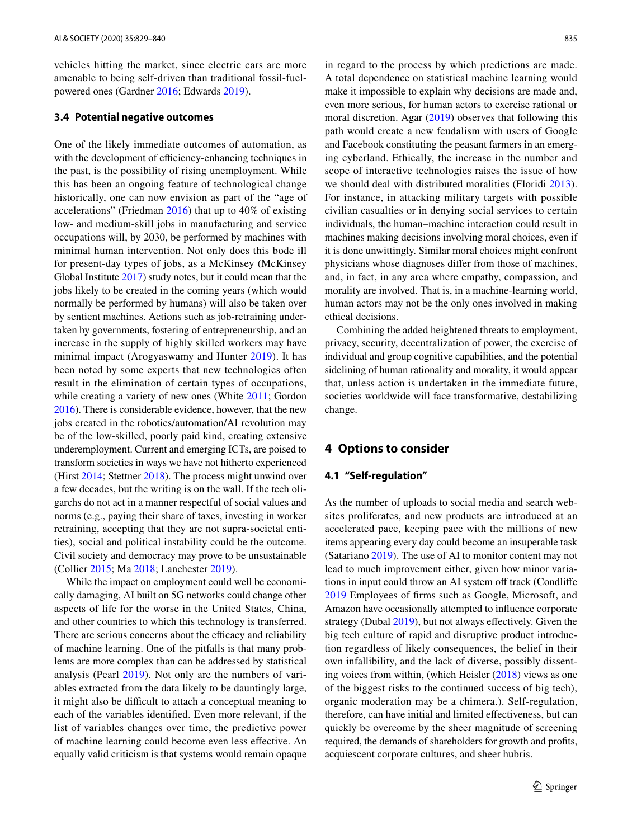vehicles hitting the market, since electric cars are more amenable to being self-driven than traditional fossil-fuelpowered ones (Gardner [2016;](#page-9-31) Edwards [2019\)](#page-9-32).

### **3.4 Potential negative outcomes**

One of the likely immediate outcomes of automation, as with the development of efficiency-enhancing techniques in the past, is the possibility of rising unemployment. While this has been an ongoing feature of technological change historically, one can now envision as part of the "age of accelerations" (Friedman [2016](#page-9-33)) that up to 40% of existing low- and medium-skill jobs in manufacturing and service occupations will, by 2030, be performed by machines with minimal human intervention. Not only does this bode ill for present-day types of jobs, as a McKinsey (McKinsey Global Institute [2017\)](#page-10-37) study notes, but it could mean that the jobs likely to be created in the coming years (which would normally be performed by humans) will also be taken over by sentient machines. Actions such as job-retraining undertaken by governments, fostering of entrepreneurship, and an increase in the supply of highly skilled workers may have minimal impact (Arogyaswamy and Hunter [2019\)](#page-9-34). It has been noted by some experts that new technologies often result in the elimination of certain types of occupations, while creating a variety of new ones (White [2011;](#page-11-4) Gordon [2016\)](#page-9-35). There is considerable evidence, however, that the new jobs created in the robotics/automation/AI revolution may be of the low-skilled, poorly paid kind, creating extensive underemployment. Current and emerging ICTs, are poised to transform societies in ways we have not hitherto experienced (Hirst [2014;](#page-9-36) Stettner [2018](#page-10-38)). The process might unwind over a few decades, but the writing is on the wall. If the tech oligarchs do not act in a manner respectful of social values and norms (e.g., paying their share of taxes, investing in worker retraining, accepting that they are not supra-societal entities), social and political instability could be the outcome. Civil society and democracy may prove to be unsustainable (Collier [2015](#page-9-37); Ma [2018](#page-10-39); Lanchester [2019](#page-9-38)).

While the impact on employment could well be economically damaging, AI built on 5G networks could change other aspects of life for the worse in the United States, China, and other countries to which this technology is transferred. There are serious concerns about the efficacy and reliability of machine learning. One of the pitfalls is that many problems are more complex than can be addressed by statistical analysis (Pearl [2019\)](#page-10-40). Not only are the numbers of variables extracted from the data likely to be dauntingly large, it might also be difficult to attach a conceptual meaning to each of the variables identifed. Even more relevant, if the list of variables changes over time, the predictive power of machine learning could become even less efective. An equally valid criticism is that systems would remain opaque in regard to the process by which predictions are made. A total dependence on statistical machine learning would make it impossible to explain why decisions are made and, even more serious, for human actors to exercise rational or moral discretion. Agar [\(2019\)](#page-9-8) observes that following this path would create a new feudalism with users of Google and Facebook constituting the peasant farmers in an emerging cyberland. Ethically, the increase in the number and scope of interactive technologies raises the issue of how we should deal with distributed moralities (Floridi [2013](#page-9-39)). For instance, in attacking military targets with possible civilian casualties or in denying social services to certain individuals, the human–machine interaction could result in machines making decisions involving moral choices, even if it is done unwittingly. Similar moral choices might confront physicians whose diagnoses difer from those of machines, and, in fact, in any area where empathy, compassion, and morality are involved. That is, in a machine-learning world, human actors may not be the only ones involved in making ethical decisions.

Combining the added heightened threats to employment, privacy, security, decentralization of power, the exercise of individual and group cognitive capabilities, and the potential sidelining of human rationality and morality, it would appear that, unless action is undertaken in the immediate future, societies worldwide will face transformative, destabilizing change.

# **4 Options to consider**

### **4.1 "Self‑regulation"**

As the number of uploads to social media and search websites proliferates, and new products are introduced at an accelerated pace, keeping pace with the millions of new items appearing every day could become an insuperable task (Satariano [2019](#page-10-11)). The use of AI to monitor content may not lead to much improvement either, given how minor variations in input could throw an AI system off track (Condliffe [2019](#page-9-40) Employees of frms such as Google, Microsoft, and Amazon have occasionally attempted to infuence corporate strategy (Dubal [2019\)](#page-9-41), but not always efectively. Given the big tech culture of rapid and disruptive product introduction regardless of likely consequences, the belief in their own infallibility, and the lack of diverse, possibly dissenting voices from within, (which Heisler [\(2018\)](#page-9-42) views as one of the biggest risks to the continued success of big tech), organic moderation may be a chimera.). Self-regulation, therefore, can have initial and limited efectiveness, but can quickly be overcome by the sheer magnitude of screening required, the demands of shareholders for growth and profts, acquiescent corporate cultures, and sheer hubris.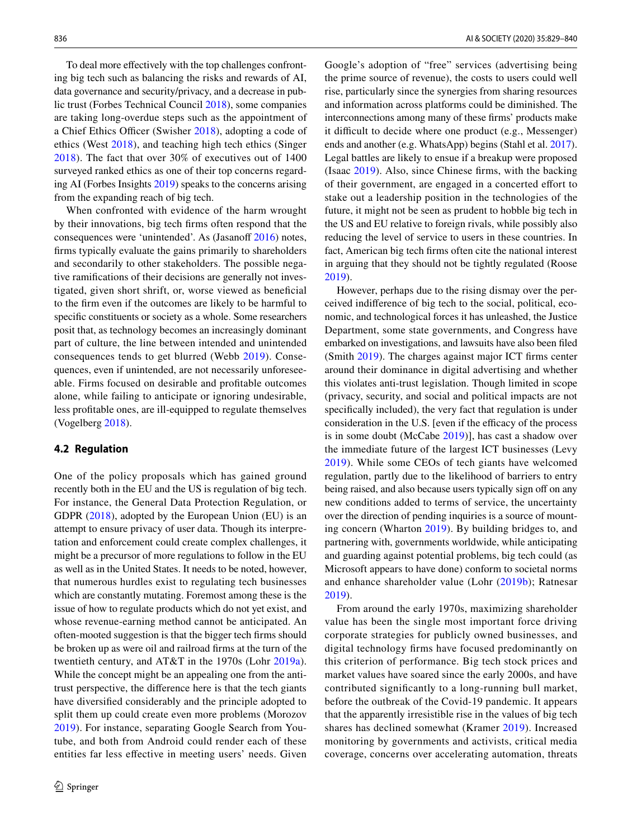To deal more efectively with the top challenges confronting big tech such as balancing the risks and rewards of AI, data governance and security/privacy, and a decrease in public trust (Forbes Technical Council [2018\)](#page-9-43), some companies are taking long-overdue steps such as the appointment of a Chief Ethics Officer (Swisher  $2018$ ), adopting a code of ethics (West [2018\)](#page-10-42), and teaching high tech ethics (Singer [2018\)](#page-10-43). The fact that over 30% of executives out of 1400 surveyed ranked ethics as one of their top concerns regarding AI (Forbes Insights [2019](#page-9-44)) speaks to the concerns arising from the expanding reach of big tech.

When confronted with evidence of the harm wrought by their innovations, big tech frms often respond that the consequences were 'unintended'. As (Jasanoff [2016](#page-9-11)) notes, frms typically evaluate the gains primarily to shareholders and secondarily to other stakeholders. The possible negative ramifcations of their decisions are generally not investigated, given short shrift, or, worse viewed as benefcial to the frm even if the outcomes are likely to be harmful to specifc constituents or society as a whole. Some researchers posit that, as technology becomes an increasingly dominant part of culture, the line between intended and unintended consequences tends to get blurred (Webb [2019](#page-10-29)). Consequences, even if unintended, are not necessarily unforeseeable. Firms focused on desirable and proftable outcomes alone, while failing to anticipate or ignoring undesirable, less proftable ones, are ill-equipped to regulate themselves (Vogelberg [2018\)](#page-10-44).

### **4.2 Regulation**

One of the policy proposals which has gained ground recently both in the EU and the US is regulation of big tech. For instance, the General Data Protection Regulation, or GDPR [\(2018\)](#page-9-45), adopted by the European Union (EU) is an attempt to ensure privacy of user data. Though its interpretation and enforcement could create complex challenges, it might be a precursor of more regulations to follow in the EU as well as in the United States. It needs to be noted, however, that numerous hurdles exist to regulating tech businesses which are constantly mutating. Foremost among these is the issue of how to regulate products which do not yet exist, and whose revenue-earning method cannot be anticipated. An often-mooted suggestion is that the bigger tech frms should be broken up as were oil and railroad frms at the turn of the twentieth century, and AT&T in the 1970s (Lohr [2019a](#page-10-45)). While the concept might be an appealing one from the antitrust perspective, the diference here is that the tech giants have diversifed considerably and the principle adopted to split them up could create even more problems (Morozov [2019\)](#page-10-46). For instance, separating Google Search from Youtube, and both from Android could render each of these entities far less efective in meeting users' needs. Given Google's adoption of "free" services (advertising being the prime source of revenue), the costs to users could well rise, particularly since the synergies from sharing resources and information across platforms could be diminished. The interconnections among many of these frms' products make it difficult to decide where one product (e.g., Messenger) ends and another (e.g. WhatsApp) begins (Stahl et al. [2017](#page-10-8)). Legal battles are likely to ensue if a breakup were proposed (Isaac [2019](#page-9-46)). Also, since Chinese frms, with the backing of their government, are engaged in a concerted effort to stake out a leadership position in the technologies of the future, it might not be seen as prudent to hobble big tech in the US and EU relative to foreign rivals, while possibly also reducing the level of service to users in these countries. In fact, American big tech frms often cite the national interest in arguing that they should not be tightly regulated (Roose [2019](#page-10-47)).

However, perhaps due to the rising dismay over the perceived indiference of big tech to the social, political, economic, and technological forces it has unleashed, the Justice Department, some state governments, and Congress have embarked on investigations, and lawsuits have also been fled (Smith [2019](#page-10-48)). The charges against major ICT frms center around their dominance in digital advertising and whether this violates anti-trust legislation. Though limited in scope (privacy, security, and social and political impacts are not specifcally included), the very fact that regulation is under consideration in the U.S. [even if the efficacy of the process is in some doubt (McCabe [2019](#page-10-49))], has cast a shadow over the immediate future of the largest ICT businesses (Levy [2019\)](#page-10-50). While some CEOs of tech giants have welcomed regulation, partly due to the likelihood of barriers to entry being raised, and also because users typically sign off on any new conditions added to terms of service, the uncertainty over the direction of pending inquiries is a source of mounting concern (Wharton [2019](#page-11-5)). By building bridges to, and partnering with, governments worldwide, while anticipating and guarding against potential problems, big tech could (as Microsoft appears to have done) conform to societal norms and enhance shareholder value (Lohr ([2019b\)](#page-10-51); Ratnesar [2019](#page-10-52)).

From around the early 1970s, maximizing shareholder value has been the single most important force driving corporate strategies for publicly owned businesses, and digital technology frms have focused predominantly on this criterion of performance. Big tech stock prices and market values have soared since the early 2000s, and have contributed signifcantly to a long-running bull market, before the outbreak of the Covid-19 pandemic. It appears that the apparently irresistible rise in the values of big tech shares has declined somewhat (Kramer [2019\)](#page-9-47). Increased monitoring by governments and activists, critical media coverage, concerns over accelerating automation, threats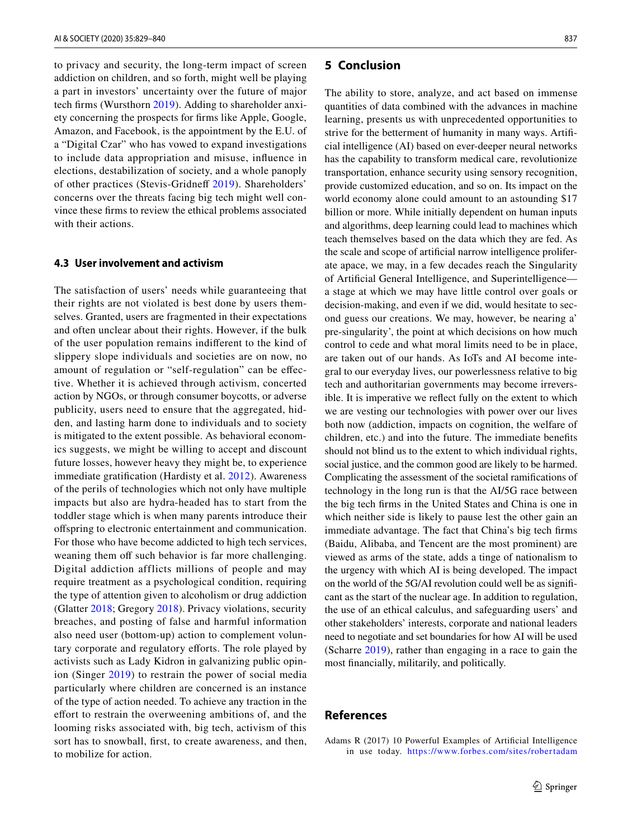to privacy and security, the long-term impact of screen addiction on children, and so forth, might well be playing a part in investors' uncertainty over the future of major tech frms (Wursthorn [2019](#page-11-6)). Adding to shareholder anxiety concerning the prospects for frms like Apple, Google, Amazon, and Facebook, is the appointment by the E.U. of a "Digital Czar" who has vowed to expand investigations to include data appropriation and misuse, infuence in elections, destabilization of society, and a whole panoply of other practices (Stevis-Gridneff [2019](#page-10-53)). Shareholders' concerns over the threats facing big tech might well convince these frms to review the ethical problems associated with their actions.

# **4.3 User involvement and activism**

The satisfaction of users' needs while guaranteeing that their rights are not violated is best done by users themselves. Granted, users are fragmented in their expectations and often unclear about their rights. However, if the bulk of the user population remains indiferent to the kind of slippery slope individuals and societies are on now, no amount of regulation or "self-regulation" can be efective. Whether it is achieved through activism, concerted action by NGOs, or through consumer boycotts, or adverse publicity, users need to ensure that the aggregated, hidden, and lasting harm done to individuals and to society is mitigated to the extent possible. As behavioral economics suggests, we might be willing to accept and discount future losses, however heavy they might be, to experience immediate gratifcation (Hardisty et al. [2012\)](#page-9-48). Awareness of the perils of technologies which not only have multiple impacts but also are hydra-headed has to start from the toddler stage which is when many parents introduce their ofspring to electronic entertainment and communication. For those who have become addicted to high tech services, weaning them off such behavior is far more challenging. Digital addiction afflicts millions of people and may require treatment as a psychological condition, requiring the type of attention given to alcoholism or drug addiction (Glatter [2018;](#page-9-49) Gregory [2018](#page-9-50)). Privacy violations, security breaches, and posting of false and harmful information also need user (bottom-up) action to complement voluntary corporate and regulatory efforts. The role played by activists such as Lady Kidron in galvanizing public opinion (Singer [2019\)](#page-10-54) to restrain the power of social media particularly where children are concerned is an instance of the type of action needed. To achieve any traction in the efort to restrain the overweening ambitions of, and the looming risks associated with, big tech, activism of this sort has to snowball, frst, to create awareness, and then, to mobilize for action.

## **5 Conclusion**

The ability to store, analyze, and act based on immense quantities of data combined with the advances in machine learning, presents us with unprecedented opportunities to strive for the betterment of humanity in many ways. Artifcial intelligence (AI) based on ever-deeper neural networks has the capability to transform medical care, revolutionize transportation, enhance security using sensory recognition, provide customized education, and so on. Its impact on the world economy alone could amount to an astounding \$17 billion or more. While initially dependent on human inputs and algorithms, deep learning could lead to machines which teach themselves based on the data which they are fed. As the scale and scope of artifcial narrow intelligence proliferate apace, we may, in a few decades reach the Singularity of Artifcial General Intelligence, and Superintelligence a stage at which we may have little control over goals or decision-making, and even if we did, would hesitate to second guess our creations. We may, however, be nearing a' pre-singularity', the point at which decisions on how much control to cede and what moral limits need to be in place, are taken out of our hands. As IoTs and AI become integral to our everyday lives, our powerlessness relative to big tech and authoritarian governments may become irreversible. It is imperative we refect fully on the extent to which we are vesting our technologies with power over our lives both now (addiction, impacts on cognition, the welfare of children, etc.) and into the future. The immediate benefts should not blind us to the extent to which individual rights, social justice, and the common good are likely to be harmed. Complicating the assessment of the societal ramifcations of technology in the long run is that the AI/5G race between the big tech frms in the United States and China is one in which neither side is likely to pause lest the other gain an immediate advantage. The fact that China's big tech frms (Baidu, Alibaba, and Tencent are the most prominent) are viewed as arms of the state, adds a tinge of nationalism to the urgency with which AI is being developed. The impact on the world of the 5G/AI revolution could well be as signifcant as the start of the nuclear age. In addition to regulation, the use of an ethical calculus, and safeguarding users' and other stakeholders' interests, corporate and national leaders need to negotiate and set boundaries for how AI will be used (Scharre [2019\)](#page-10-55), rather than engaging in a race to gain the most fnancially, militarily, and politically.

# **References**

<span id="page-8-0"></span>Adams R (2017) 10 Powerful Examples of Artifcial Intelligence in use today. [https://www.forbes.com/sites/robertadam](https://www.forbes.com/sites/robertadams/2017/01/10/10-powerful-examples-of-artificial-intelligence-in-use-today/#6c96aae4420d)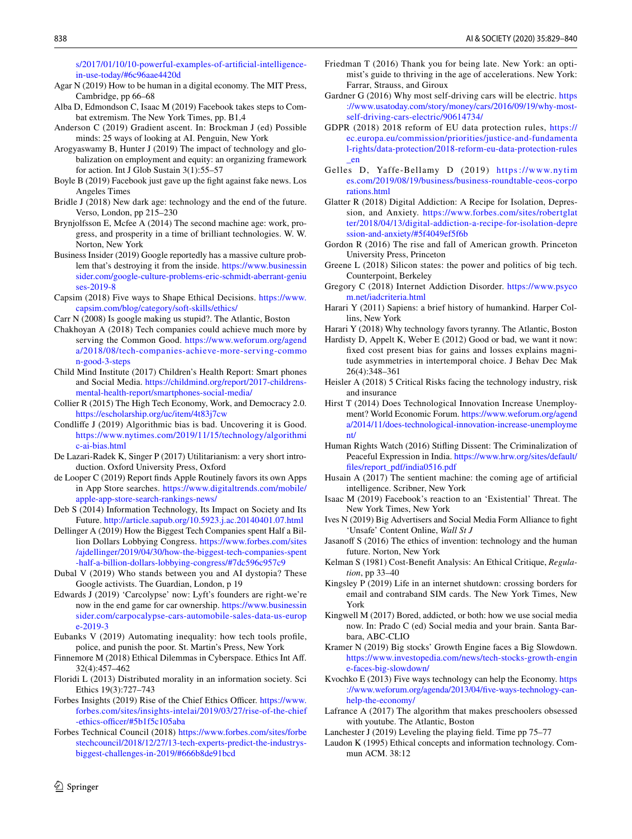[s/2017/01/10/10-powerful-examples-of-artificial-intelligence](https://www.forbes.com/sites/robertadams/2017/01/10/10-powerful-examples-of-artificial-intelligence-in-use-today/#6c96aae4420d)[in-use-today/#6c96aae4420d](https://www.forbes.com/sites/robertadams/2017/01/10/10-powerful-examples-of-artificial-intelligence-in-use-today/#6c96aae4420d)

- <span id="page-9-8"></span>Agar N (2019) How to be human in a digital economy. The MIT Press, Cambridge, pp 66–68
- <span id="page-9-19"></span>Alba D, Edmondson C, Isaac M (2019) Facebook takes steps to Combat extremism. The New York Times, pp. B1,4
- <span id="page-9-30"></span>Anderson C (2019) Gradient ascent. In: Brockman J (ed) Possible minds: 25 ways of looking at AI. Penguin, New York
- <span id="page-9-34"></span>Arogyaswamy B, Hunter J (2019) The impact of technology and globalization on employment and equity: an organizing framework for action. Int J Glob Sustain 3(1):55–57
- <span id="page-9-25"></span>Boyle B (2019) Facebook just gave up the fght against fake news. Los Angeles Times
- <span id="page-9-1"></span>Bridle J (2018) New dark age: technology and the end of the future. Verso, London, pp 215–230
- <span id="page-9-0"></span>Brynjolfsson E, Mcfee A (2014) The second machine age: work, progress, and prosperity in a time of brilliant technologies. W. W. Norton, New York
- <span id="page-9-26"></span>Business Insider (2019) Google reportedly has a massive culture problem that's destroying it from the inside. [https://www.businessin](https://www.businessinsider.com/google-culture-problems-eric-schmidt-aberrant-geniuses-2019-8) [sider.com/google-culture-problems-eric-schmidt-aberrant-geniu](https://www.businessinsider.com/google-culture-problems-eric-schmidt-aberrant-geniuses-2019-8) [ses-2019-8](https://www.businessinsider.com/google-culture-problems-eric-schmidt-aberrant-geniuses-2019-8)
- <span id="page-9-4"></span>Capsim (2018) Five ways to Shape Ethical Decisions. [https://www.](https://www.capsim.com/blog/category/soft-skills/ethics/) [capsim.com/blog/category/soft-skills/ethics/](https://www.capsim.com/blog/category/soft-skills/ethics/)
- <span id="page-9-14"></span>Carr N (2008) Is google making us stupid?. The Atlantic, Boston
- <span id="page-9-23"></span>Chakhoyan A (2018) Tech companies could achieve much more by serving the Common Good. [https://www.weforum.org/agend](https://www.weforum.org/agenda/2018/08/tech-companies-achieve-more-serving-common-good-3-steps) [a/2018/08/tech-companies-achieve-more-serving-commo](https://www.weforum.org/agenda/2018/08/tech-companies-achieve-more-serving-common-good-3-steps) [n-good-3-steps](https://www.weforum.org/agenda/2018/08/tech-companies-achieve-more-serving-common-good-3-steps)
- <span id="page-9-17"></span>Child Mind Institute (2017) Children's Health Report: Smart phones and Social Media. [https://childmind.org/report/2017-childrens](https://childmind.org/report/2017-childrens-mental-health-report/smartphones-social-media/)[mental-health-report/smartphones-social-media/](https://childmind.org/report/2017-childrens-mental-health-report/smartphones-social-media/)
- <span id="page-9-37"></span>Collier R (2015) The High Tech Economy, Work, and Democracy 2.0. <https://escholarship.org/uc/item/4t83j7cw>
- <span id="page-9-40"></span>Condlife J (2019) Algorithmic bias is bad. Uncovering it is Good. [https://www.nytimes.com/2019/11/15/technology/algorithmi](https://www.nytimes.com/2019/11/15/technology/algorithmic-ai-bias.html) [c-ai-bias.html](https://www.nytimes.com/2019/11/15/technology/algorithmic-ai-bias.html)
- <span id="page-9-5"></span>De Lazari-Radek K, Singer P (2017) Utilitarianism: a very short introduction. Oxford University Press, Oxford
- <span id="page-9-16"></span>de Looper C (2019) Report fnds Apple Routinely favors its own Apps in App Store searches. [https://www.digitaltrends.com/mobile/](https://www.digitaltrends.com/mobile/apple-app-store-search-rankings-news/) [apple-app-store-search-rankings-news/](https://www.digitaltrends.com/mobile/apple-app-store-search-rankings-news/)
- <span id="page-9-29"></span>Deb S (2014) Information Technology, Its Impact on Society and Its Future.<http://article.sapub.org/10.5923.j.ac.20140401.07.html>
- <span id="page-9-24"></span>Dellinger A (2019) How the Biggest Tech Companies spent Half a Billion Dollars Lobbying Congress. [https://www.forbes.com/sites](https://www.forbes.com/sites/ajdellinger/2019/04/30/how-the-biggest-tech-companies-spent-half-a-billion-dollars-lobbying-congress/#7dc596c957c9) [/ajdellinger/2019/04/30/how-the-biggest-tech-companies-spent](https://www.forbes.com/sites/ajdellinger/2019/04/30/how-the-biggest-tech-companies-spent-half-a-billion-dollars-lobbying-congress/#7dc596c957c9) [-half-a-billion-dollars-lobbying-congress/#7dc596c957c9](https://www.forbes.com/sites/ajdellinger/2019/04/30/how-the-biggest-tech-companies-spent-half-a-billion-dollars-lobbying-congress/#7dc596c957c9)
- <span id="page-9-41"></span>Dubal V (2019) Who stands between you and AI dystopia? These Google activists. The Guardian, London, p 19
- <span id="page-9-32"></span>Edwards J (2019) 'Carcolypse' now: Lyft's founders are right-we're now in the end game for car ownership. [https://www.businessin](https://www.businessinsider.com/carpocalypse-cars-automobile-sales-data-us-europe-2019-3) [sider.com/carpocalypse-cars-automobile-sales-data-us-europ](https://www.businessinsider.com/carpocalypse-cars-automobile-sales-data-us-europe-2019-3) [e-2019-3](https://www.businessinsider.com/carpocalypse-cars-automobile-sales-data-us-europe-2019-3)
- <span id="page-9-22"></span>Eubanks V (2019) Automating inequality: how tech tools profle, police, and punish the poor. St. Martin's Press, New York
- <span id="page-9-10"></span>Finnemore M (2018) Ethical Dilemmas in Cyberspace. Ethics Int Af. 32(4):457–462
- <span id="page-9-39"></span>Floridi L (2013) Distributed morality in an information society. Sci Ethics 19(3):727–743
- <span id="page-9-44"></span>Forbes Insights (2019) Rise of the Chief Ethics Officer. [https://www.](https://www.forbes.com/sites/insights-intelai/2019/03/27/rise-of-the-chief-ethics-officer/#5b1f5c105aba) [forbes.com/sites/insights-intelai/2019/03/27/rise-of-the-chief](https://www.forbes.com/sites/insights-intelai/2019/03/27/rise-of-the-chief-ethics-officer/#5b1f5c105aba) -ethics-officer/#5b1f5c105aba
- <span id="page-9-43"></span>Forbes Technical Council (2018) [https://www.forbes.com/sites/forbe](https://www.forbes.com/sites/forbestechcouncil/2018/12/27/13-tech-experts-predict-the-industrys-biggest-challenges-in-2019/#666b8de91bcd) [stechcouncil/2018/12/27/13-tech-experts-predict-the-industrys](https://www.forbes.com/sites/forbestechcouncil/2018/12/27/13-tech-experts-predict-the-industrys-biggest-challenges-in-2019/#666b8de91bcd)[biggest-challenges-in-2019/#666b8de91bcd](https://www.forbes.com/sites/forbestechcouncil/2018/12/27/13-tech-experts-predict-the-industrys-biggest-challenges-in-2019/#666b8de91bcd)
- <span id="page-9-33"></span>Friedman T (2016) Thank you for being late. New York: an optimist's guide to thriving in the age of accelerations. New York: Farrar, Strauss, and Giroux
- <span id="page-9-31"></span>Gardner G (2016) Why most self-driving cars will be electric. [https](https://www.usatoday.com/story/money/cars/2016/09/19/why-most-self-driving-cars-electric/90614734/) [://www.usatoday.com/story/money/cars/2016/09/19/why-most](https://www.usatoday.com/story/money/cars/2016/09/19/why-most-self-driving-cars-electric/90614734/)[self-driving-cars-electric/90614734/](https://www.usatoday.com/story/money/cars/2016/09/19/why-most-self-driving-cars-electric/90614734/)
- <span id="page-9-45"></span>GDPR (2018) 2018 reform of EU data protection rules, [https://](https://ec.europa.eu/commission/priorities/justice-and-fundamental-rights/data-protection/2018-reform-eu-data-protection-rules_en) [ec.europa.eu/commission/priorities/justice-and-fundamenta](https://ec.europa.eu/commission/priorities/justice-and-fundamental-rights/data-protection/2018-reform-eu-data-protection-rules_en) [l-rights/data-protection/2018-reform-eu-data-protection-rules](https://ec.europa.eu/commission/priorities/justice-and-fundamental-rights/data-protection/2018-reform-eu-data-protection-rules_en) [\\_en](https://ec.europa.eu/commission/priorities/justice-and-fundamental-rights/data-protection/2018-reform-eu-data-protection-rules_en)
- <span id="page-9-2"></span>Gelles D, Yaffe-Bellamy D (2019) [https://www.nytim](https://www.nytimes.com/2019/08/19/business/business-roundtable-ceos-corporations.html) [es.com/2019/08/19/business/business-roundtable-ceos-corpo](https://www.nytimes.com/2019/08/19/business/business-roundtable-ceos-corporations.html) [rations.html](https://www.nytimes.com/2019/08/19/business/business-roundtable-ceos-corporations.html)
- <span id="page-9-49"></span>Glatter R (2018) Digital Addiction: A Recipe for Isolation, Depression, and Anxiety. [https://www.forbes.com/sites/robertglat](https://www.forbes.com/sites/robertglatter/2018/04/13/digital-addiction-a-recipe-for-isolation-depression-and-anxiety/#5f4049ef5f6b) [ter/2018/04/13/digital-addiction-a-recipe-for-isolation-depre](https://www.forbes.com/sites/robertglatter/2018/04/13/digital-addiction-a-recipe-for-isolation-depression-and-anxiety/#5f4049ef5f6b) [ssion-and-anxiety/#5f4049ef5f6b](https://www.forbes.com/sites/robertglatter/2018/04/13/digital-addiction-a-recipe-for-isolation-depression-and-anxiety/#5f4049ef5f6b)
- <span id="page-9-35"></span>Gordon R (2016) The rise and fall of American growth. Princeton University Press, Princeton
- <span id="page-9-9"></span>Greene L (2018) Silicon states: the power and politics of big tech. Counterpoint, Berkeley
- <span id="page-9-50"></span>Gregory C (2018) Internet Addiction Disorder. [https://www.psyco](https://www.psycom.net/iadcriteria.html) [m.net/iadcriteria.html](https://www.psycom.net/iadcriteria.html)
- <span id="page-9-12"></span>Harari Y (2011) Sapiens: a brief history of humankind. Harper Collins, New York
- <span id="page-9-13"></span>Harari Y (2018) Why technology favors tyranny. The Atlantic, Boston
- <span id="page-9-48"></span>Hardisty D, Appelt K, Weber E (2012) Good or bad, we want it now: fxed cost present bias for gains and losses explains magnitude asymmetries in intertemporal choice. J Behav Dec Mak 26(4):348–361
- <span id="page-9-42"></span>Heisler A (2018) 5 Critical Risks facing the technology industry, risk and insurance
- <span id="page-9-36"></span>Hirst T (2014) Does Technological Innovation Increase Unemployment? World Economic Forum. [https://www.weforum.org/agend](https://www.weforum.org/agenda/2014/11/does-technological-innovation-increase-unemployment/) [a/2014/11/does-technological-innovation-increase-unemployme](https://www.weforum.org/agenda/2014/11/does-technological-innovation-increase-unemployment/) [nt/](https://www.weforum.org/agenda/2014/11/does-technological-innovation-increase-unemployment/)
- <span id="page-9-21"></span>Human Rights Watch (2016) Stifing Dissent: The Criminalization of Peaceful Expression in India. [https://www.hrw.org/sites/default/](https://www.hrw.org/sites/default/files/report_pdf/india0516.pdf) [fles/report\\_pdf/india0516.pdf](https://www.hrw.org/sites/default/files/report_pdf/india0516.pdf)
- <span id="page-9-27"></span>Husain A (2017) The sentient machine: the coming age of artifcial intelligence. Scribner, New York
- <span id="page-9-46"></span>Isaac M (2019) Facebook's reaction to an 'Existential' Threat. The New York Times, New York
- <span id="page-9-18"></span>Ives N (2019) Big Advertisers and Social Media Form Alliance to fght 'Unsafe' Content Online, *Wall St J*
- <span id="page-9-11"></span>Jasanoff S (2016) The ethics of invention: technology and the human future. Norton, New York
- <span id="page-9-6"></span>Kelman S (1981) Cost-Beneft Analysis: An Ethical Critique, *Regulation*, pp 33–40
- <span id="page-9-20"></span>Kingsley P (2019) Life in an internet shutdown: crossing borders for email and contraband SIM cards. The New York Times, New York
- <span id="page-9-7"></span>Kingwell M (2017) Bored, addicted, or both: how we use social media now. In: Prado C (ed) Social media and your brain. Santa Barbara, ABC-CLIO
- <span id="page-9-47"></span>Kramer N (2019) Big stocks' Growth Engine faces a Big Slowdown. [https://www.investopedia.com/news/tech-stocks-growth-engin](https://www.investopedia.com/news/tech-stocks-growth-engine-faces-big-slowdown/) [e-faces-big-slowdown/](https://www.investopedia.com/news/tech-stocks-growth-engine-faces-big-slowdown/)
- <span id="page-9-28"></span>Kvochko E (2013) Five ways technology can help the Economy. [https](https://www.weforum.org/agenda/2013/04/five-ways-technology-can-help-the-economy/) [://www.weforum.org/agenda/2013/04/fve-ways-technology-can](https://www.weforum.org/agenda/2013/04/five-ways-technology-can-help-the-economy/)[help-the-economy/](https://www.weforum.org/agenda/2013/04/five-ways-technology-can-help-the-economy/)
- <span id="page-9-15"></span>Lafrance A (2017) The algorithm that makes preschoolers obsessed with youtube. The Atlantic, Boston
- <span id="page-9-38"></span>Lanchester J (2019) Leveling the playing feld. Time pp 75–77
- <span id="page-9-3"></span>Laudon K (1995) Ethical concepts and information technology. Commun ACM. 38:12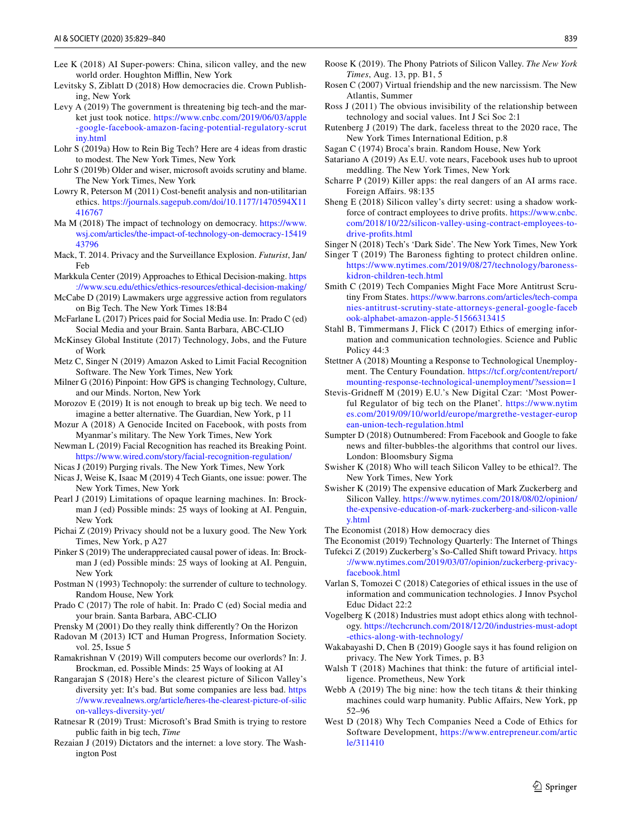- <span id="page-10-35"></span>Lee K (2018) AI Super-powers: China, silicon valley, and the new world order. Houghton Mifin, New York
- <span id="page-10-0"></span>Levitsky S, Ziblatt D (2018) How democracies die. Crown Publishing, New York
- <span id="page-10-50"></span>Levy A (2019) The government is threatening big tech-and the market just took notice. [https://www.cnbc.com/2019/06/03/apple](https://www.cnbc.com/2019/06/03/apple-google-facebook-amazon-facing-potential-regulatory-scrutiny.html) [-google-facebook-amazon-facing-potential-regulatory-scrut](https://www.cnbc.com/2019/06/03/apple-google-facebook-amazon-facing-potential-regulatory-scrutiny.html) [iny.html](https://www.cnbc.com/2019/06/03/apple-google-facebook-amazon-facing-potential-regulatory-scrutiny.html)
- <span id="page-10-45"></span>Lohr S (2019a) How to Rein Big Tech? Here are 4 ideas from drastic to modest. The New York Times, New York
- <span id="page-10-51"></span>Lohr S (2019b) Older and wiser, microsoft avoids scrutiny and blame. The New York Times, New York
- <span id="page-10-6"></span>Lowry R, Peterson M (2011) Cost-beneft analysis and non-utilitarian ethics. [https://journals.sagepub.com/doi/10.1177/1470594X11](https://journals.sagepub.com/doi/10.1177/1470594X11416767) [416767](https://journals.sagepub.com/doi/10.1177/1470594X11416767)
- <span id="page-10-39"></span>Ma M (2018) The impact of technology on democracy. [https://www.](https://www.wsj.com/articles/the-impact-of-technology-on-democracy-1541943796) [wsj.com/articles/the-impact-of-technology-on-democracy-15419](https://www.wsj.com/articles/the-impact-of-technology-on-democracy-1541943796) [43796](https://www.wsj.com/articles/the-impact-of-technology-on-democracy-1541943796)
- <span id="page-10-12"></span>Mack, T. 2014. Privacy and the Surveillance Explosion. *Futurist*, Jan/ Feb
- <span id="page-10-5"></span>Markkula Center (2019) Approaches to Ethical Decision-making. [https](https://www.scu.edu/ethics/ethics-resources/ethical-decision-making/) [://www.scu.edu/ethics/ethics-resources/ethical-decision-making/](https://www.scu.edu/ethics/ethics-resources/ethical-decision-making/)
- <span id="page-10-49"></span>McCabe D (2019) Lawmakers urge aggressive action from regulators on Big Tech. The New York Times 18:B4
- <span id="page-10-16"></span>McFarlane L (2017) Prices paid for Social Media use. In: Prado C (ed) Social Media and your Brain. Santa Barbara, ABC-CLIO
- <span id="page-10-37"></span>McKinsey Global Institute (2017) Technology, Jobs, and the Future of Work
- <span id="page-10-27"></span>Metz C, Singer N (2019) Amazon Asked to Limit Facial Recognition Software. The New York Times, New York
- <span id="page-10-19"></span>Milner G (2016) Pinpoint: How GPS is changing Technology, Culture, and our Minds. Norton, New York
- <span id="page-10-46"></span>Morozov E (2019) It is not enough to break up big tech. We need to imagine a better alternative. The Guardian, New York, p 11
- <span id="page-10-24"></span>Mozur A (2018) A Genocide Incited on Facebook, with posts from Myanmar's military. The New York Times, New York
- <span id="page-10-28"></span>Newman L (2019) Facial Recognition has reached its Breaking Point. <https://www.wired.com/story/facial-recognition-regulation/>
- <span id="page-10-22"></span>Nicas J (2019) Purging rivals. The New York Times, New York
- <span id="page-10-31"></span>Nicas J, Weise K, Isaac M (2019) 4 Tech Giants, one issue: power. The New York Times, New York
- <span id="page-10-40"></span>Pearl J (2019) Limitations of opaque learning machines. In: Brockman J (ed) Possible minds: 25 ways of looking at AI. Penguin, New York
- <span id="page-10-13"></span>Pichai Z (2019) Privacy should not be a luxury good. The New York Times, New York, p A27
- <span id="page-10-30"></span>Pinker S (2019) The underappreciated causal power of ideas. In: Brockman J (ed) Possible minds: 25 ways of looking at AI. Penguin, New York
- <span id="page-10-20"></span>Postman N (1993) Technopoly: the surrender of culture to technology. Random House, New York
- <span id="page-10-3"></span>Prado C (2017) The role of habit. In: Prado C (ed) Social media and your brain. Santa Barbara, ABC-CLIO
- <span id="page-10-18"></span>Prensky M (2001) Do they really think diferently? On the Horizon
- <span id="page-10-7"></span>Radovan M (2013) ICT and Human Progress, Information Society. vol. 25, Issue 5
- <span id="page-10-36"></span>Ramakrishnan V (2019) Will computers become our overlords? In: J. Brockman, ed. Possible Minds: 25 Ways of looking at AI
- <span id="page-10-33"></span>Rangarajan S (2018) Here's the clearest picture of Silicon Valley's diversity yet: It's bad. But some companies are less bad. [https](https://www.revealnews.org/article/heres-the-clearest-picture-of-silicon-valleys-diversity-yet/) [://www.revealnews.org/article/heres-the-clearest-picture-of-silic](https://www.revealnews.org/article/heres-the-clearest-picture-of-silicon-valleys-diversity-yet/) [on-valleys-diversity-yet/](https://www.revealnews.org/article/heres-the-clearest-picture-of-silicon-valleys-diversity-yet/)
- <span id="page-10-52"></span>Ratnesar R (2019) Trust: Microsoft's Brad Smith is trying to restore public faith in big tech, *Time*
- <span id="page-10-25"></span>Rezaian J (2019) Dictators and the internet: a love story. The Washington Post
- <span id="page-10-47"></span>Roose K (2019). The Phony Patriots of Silicon Valley. *The New York Times*, Aug. 13, pp. B1, 5
- <span id="page-10-2"></span>Rosen C (2007) Virtual friendship and the new narcissism. The New Atlantis, Summer
- <span id="page-10-23"></span>Ross J (2011) The obvious invisibility of the relationship between technology and social values. Int J Sci Soc 2:1
- <span id="page-10-10"></span>Rutenberg J (2019) The dark, faceless threat to the 2020 race, The New York Times International Edition, p.8
- <span id="page-10-17"></span>Sagan C (1974) Broca's brain. Random House, New York
- <span id="page-10-11"></span>Satariano A (2019) As E.U. vote nears, Facebook uses hub to uproot meddling. The New York Times, New York
- <span id="page-10-55"></span>Scharre P (2019) Killer apps: the real dangers of an AI arms race. Foreign Afairs. 98:135
- <span id="page-10-32"></span>Sheng E (2018) Silicon valley's dirty secret: using a shadow workforce of contract employees to drive profts. [https://www.cnbc.](https://www.cnbc.com/2018/10/22/silicon-valley-using-contract-employees-to-drive-profits.html) [com/2018/10/22/silicon-valley-using-contract-employees-to](https://www.cnbc.com/2018/10/22/silicon-valley-using-contract-employees-to-drive-profits.html)[drive-profts.html](https://www.cnbc.com/2018/10/22/silicon-valley-using-contract-employees-to-drive-profits.html)
- <span id="page-10-43"></span>Singer N (2018) Tech's 'Dark Side'. The New York Times, New York
- <span id="page-10-54"></span>Singer T (2019) The Baroness fghting to protect children online. [https://www.nytimes.com/2019/08/27/technology/baroness](https://www.nytimes.com/2019/08/27/technology/baroness-kidron-children-tech.html)[kidron-children-tech.html](https://www.nytimes.com/2019/08/27/technology/baroness-kidron-children-tech.html)
- <span id="page-10-48"></span>Smith C (2019) Tech Companies Might Face More Antitrust Scrutiny From States. [https://www.barrons.com/articles/tech-compa](https://www.barrons.com/articles/tech-companies-antitrust-scrutiny-state-attorneys-general-google-facebook-alphabet-amazon-apple-51566313415) [nies-antitrust-scrutiny-state-attorneys-general-google-faceb](https://www.barrons.com/articles/tech-companies-antitrust-scrutiny-state-attorneys-general-google-facebook-alphabet-amazon-apple-51566313415) [ook-alphabet-amazon-apple-51566313415](https://www.barrons.com/articles/tech-companies-antitrust-scrutiny-state-attorneys-general-google-facebook-alphabet-amazon-apple-51566313415)
- <span id="page-10-8"></span>Stahl B, Timmermans J, Flick C (2017) Ethics of emerging information and communication technologies. Science and Public Policy 44:3
- <span id="page-10-38"></span>Stettner A (2018) Mounting a Response to Technological Unemployment. The Century Foundation. [https://tcf.org/content/report/](https://tcf.org/content/report/mounting-response-technological-unemployment/%3fsession%3d1) [mounting-response-technological-unemployment/?session=1](https://tcf.org/content/report/mounting-response-technological-unemployment/%3fsession%3d1)
- <span id="page-10-53"></span>Stevis-Gridneff M (2019) E.U.'s New Digital Czar: 'Most Powerful Regulator of big tech on the Planet'. [https://www.nytim](https://www.nytimes.com/2019/09/10/world/europe/margrethe-vestager-european-union-tech-regulation.html) [es.com/2019/09/10/world/europe/margrethe-vestager-europ](https://www.nytimes.com/2019/09/10/world/europe/margrethe-vestager-european-union-tech-regulation.html) [ean-union-tech-regulation.html](https://www.nytimes.com/2019/09/10/world/europe/margrethe-vestager-european-union-tech-regulation.html)
- <span id="page-10-9"></span>Sumpter D (2018) Outnumbered: From Facebook and Google to fake news and flter-bubbles-the algorithms that control our lives. London: Bloomsbury Sigma
- <span id="page-10-41"></span>Swisher K (2018) Who will teach Silicon Valley to be ethical?. The New York Times, New York
- <span id="page-10-26"></span>Swisher K (2019) The expensive education of Mark Zuckerberg and Silicon Valley. [https://www.nytimes.com/2018/08/02/opinion/](https://www.nytimes.com/2018/08/02/opinion/the-expensive-education-of-mark-zuckerberg-and-silicon-valley.html) [the-expensive-education-of-mark-zuckerberg-and-silicon-valle](https://www.nytimes.com/2018/08/02/opinion/the-expensive-education-of-mark-zuckerberg-and-silicon-valley.html) [y.html](https://www.nytimes.com/2018/08/02/opinion/the-expensive-education-of-mark-zuckerberg-and-silicon-valley.html)
- <span id="page-10-1"></span>The Economist (2018) How democracy dies
- <span id="page-10-34"></span>The Economist (2019) Technology Quarterly: The Internet of Things
- <span id="page-10-14"></span>Tufekci Z (2019) Zuckerberg's So-Called Shift toward Privacy. [https](https://www.nytimes.com/2019/03/07/opinion/zuckerberg-privacy-facebook.html) [://www.nytimes.com/2019/03/07/opinion/zuckerberg-privacy](https://www.nytimes.com/2019/03/07/opinion/zuckerberg-privacy-facebook.html)[facebook.html](https://www.nytimes.com/2019/03/07/opinion/zuckerberg-privacy-facebook.html)
- <span id="page-10-4"></span>Varlan S, Tomozei C (2018) Categories of ethical issues in the use of information and communication technologies. J Innov Psychol Educ Didact 22:2
- <span id="page-10-44"></span>Vogelberg K (2018) Industries must adopt ethics along with technology. [https://techcrunch.com/2018/12/20/industries-must-adopt](https://techcrunch.com/2018/12/20/industries-must-adopt-ethics-along-with-technology/) [-ethics-along-with-technology/](https://techcrunch.com/2018/12/20/industries-must-adopt-ethics-along-with-technology/)
- <span id="page-10-15"></span>Wakabayashi D, Chen B (2019) Google says it has found religion on privacy. The New York Times, p. B3
- <span id="page-10-21"></span>Walsh T (2018) Machines that think: the future of artificial intelligence. Prometheus, New York
- <span id="page-10-29"></span>Webb A (2019) The big nine: how the tech titans & their thinking machines could warp humanity. Public Afairs, New York, pp 52–96
- <span id="page-10-42"></span>West D (2018) Why Tech Companies Need a Code of Ethics for Software Development, [https://www.entrepreneur.com/artic](https://www.entrepreneur.com/article/311410) [le/311410](https://www.entrepreneur.com/article/311410)